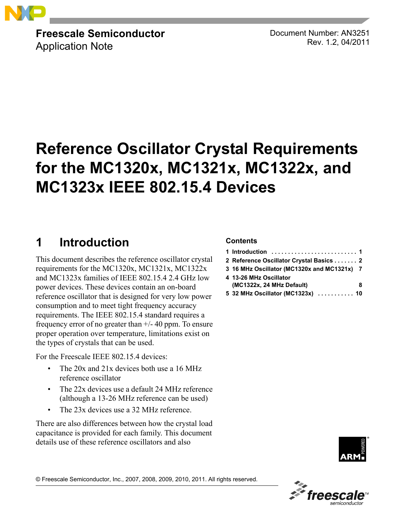

**Freescale Semiconductor** Application Note

Document Number: AN3251 Rev. 1.2, 04/2011

# **Reference Oscillator Crystal Requirements for the MC1320x, MC1321x, MC1322x, and MC1323x IEEE 802.15.4 Devices**

# <span id="page-0-0"></span>**1 Introduction**

This document describes the reference oscillator crystal requirements for the MC1320x, MC1321x, MC1322x and MC1323x families of IEEE 802.15.4 2.4 GHz low power devices. These devices contain an on-board reference oscillator that is designed for very low power consumption and to meet tight frequency accuracy requirements. The IEEE 802.15.4 standard requires a frequency error of no greater than +/- 40 ppm. To ensure proper operation over temperature, limitations exist on the types of crystals that can be used.

For the Freescale IEEE 802.15.4 devices:

- The 20x and 21x devices both use a 16 MHz reference oscillator
- The 22x devices use a default 24 MHz reference (although a 13-26 MHz reference can be used)
- The 23x devices use a 32 MHz reference.

There are also differences between how the crystal load capacitance is provided for each family. This document details use of these reference oscillators and also

#### **Contents**

| 2 Reference Oscillator Crystal Basics 2     |
|---------------------------------------------|
| 3 16 MHz Oscillator (MC1320x and MC1321x) 7 |
| 4 13-26 MHz Oscillator                      |
| (MC1322x, 24 MHz Default)<br>8              |
| 5 32 MHz Oscillator (MC1323x)  10           |



© Freescale Semiconductor, Inc., 2007, 2008, 2009, 2010, 2011. All rights reserved.

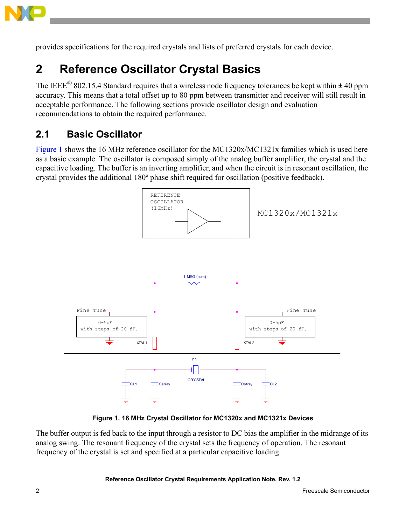

provides specifications for the required crystals and lists of preferred crystals for each device.

# <span id="page-1-0"></span>**2 Reference Oscillator Crystal Basics**

The IEEE<sup>®</sup> 802.15.4 Standard requires that a wireless node frequency tolerances be kept within  $\pm$  40 ppm accuracy. This means that a total offset up to 80 ppm between transmitter and receiver will still result in acceptable performance. The following sections provide oscillator design and evaluation recommendations to obtain the required performance.

### **2.1 Basic Oscillator**

[Figure 1](#page-1-1) shows the 16 MHz reference oscillator for the MC1320x/MC1321x families which is used here as a basic example. The oscillator is composed simply of the analog buffer amplifier, the crystal and the capacitive loading. The buffer is an inverting amplifier, and when the circuit is in resonant oscillation, the crystal provides the additional 180º phase shift required for oscillation (positive feedback).



**Figure 1. 16 MHz Crystal Oscillator for MC1320x and MC1321x Devices**

<span id="page-1-1"></span>The buffer output is fed back to the input through a resistor to DC bias the amplifier in the midrange of its analog swing. The resonant frequency of the crystal sets the frequency of operation. The resonant frequency of the crystal is set and specified at a particular capacitive loading.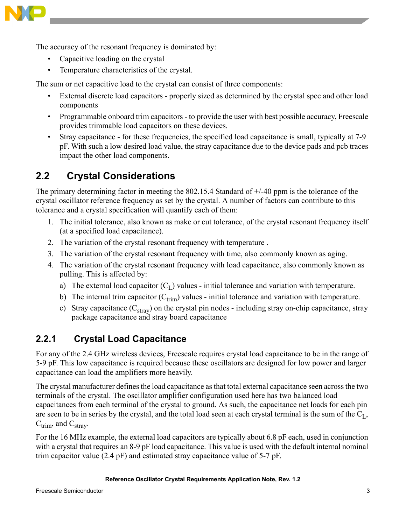

The accuracy of the resonant frequency is dominated by:

- Capacitive loading on the crystal
- Temperature characteristics of the crystal.

The sum or net capacitive load to the crystal can consist of three components:

- External discrete load capacitors properly sized as determined by the crystal spec and other load components
- Programmable onboard trim capacitors to provide the user with best possible accuracy, Freescale provides trimmable load capacitors on these devices.
- Stray capacitance for these frequencies, the specified load capacitance is small, typically at 7-9 pF. With such a low desired load value, the stray capacitance due to the device pads and pcb traces impact the other load components.

## **2.2 Crystal Considerations**

The primary determining factor in meeting the 802.15.4 Standard of +/-40 ppm is the tolerance of the crystal oscillator reference frequency as set by the crystal. A number of factors can contribute to this tolerance and a crystal specification will quantify each of them:

- 1. The initial tolerance, also known as make or cut tolerance, of the crystal resonant frequency itself (at a specified load capacitance).
- 2. The variation of the crystal resonant frequency with temperature .
- 3. The variation of the crystal resonant frequency with time, also commonly known as aging.
- 4. The variation of the crystal resonant frequency with load capacitance, also commonly known as pulling. This is affected by:
	- a) The external load capacitor  $(C<sub>I</sub>)$  values initial tolerance and variation with temperature.
	- b) The internal trim capacitor  $(C_{\text{trim}})$  values initial tolerance and variation with temperature.
	- c) Stray capacitance  $(C_{\text{stray}})$  on the crystal pin nodes including stray on-chip capacitance, stray package capacitance and stray board capacitance

#### **2.2.1 Crystal Load Capacitance**

For any of the 2.4 GHz wireless devices, Freescale requires crystal load capacitance to be in the range of 5-9 pF. This low capacitance is required because these oscillators are designed for low power and larger capacitance can load the amplifiers more heavily.

The crystal manufacturer defines the load capacitance as that total external capacitance seen across the two terminals of the crystal. The oscillator amplifier configuration used here has two balanced load capacitances from each terminal of the crystal to ground. As such, the capacitance net loads for each pin are seen to be in series by the crystal, and the total load seen at each crystal terminal is the sum of the  $C<sub>L</sub>$ ,  $C_{\text{trim}}$ , and  $C_{\text{strav}}$ .

For the 16 MHz example, the external load capacitors are typically about 6.8 pF each, used in conjunction with a crystal that requires an 8-9 pF load capacitance. This value is used with the default internal nominal trim capacitor value (2.4 pF) and estimated stray capacitance value of 5-7 pF.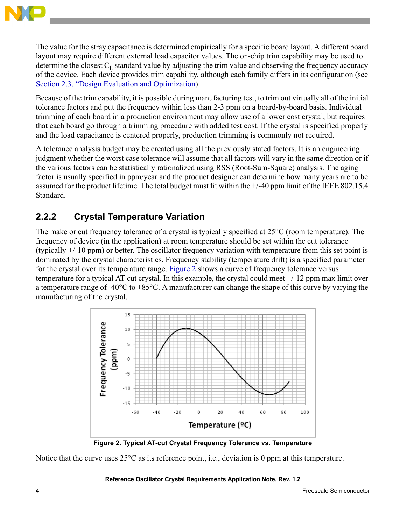

The value for the stray capacitance is determined empirically for a specific board layout. A different board layout may require different external load capacitor values. The on-chip trim capability may be used to determine the closest  $C_L$  standard value by adjusting the trim value and observing the frequency accuracy of the device. Each device provides trim capability, although each family differs in its configuration (see [Section 2.3, "Design Evaluation and Optimization\)](#page-5-0).

Because of the trim capability, it is possible during manufacturing test, to trim out virtually all of the initial tolerance factors and put the frequency within less than 2-3 ppm on a board-by-board basis. Individual trimming of each board in a production environment may allow use of a lower cost crystal, but requires that each board go through a trimming procedure with added test cost. If the crystal is specified properly and the load capacitance is centered properly, production trimming is commonly not required.

A tolerance analysis budget may be created using all the previously stated factors. It is an engineering judgment whether the worst case tolerance will assume that all factors will vary in the same direction or if the various factors can be statistically rationalized using RSS (Root-Sum-Square) analysis. The aging factor is usually specified in ppm/year and the product designer can determine how many years are to be assumed for the product lifetime. The total budget must fit within the +/-40 ppm limit of the IEEE 802.15.4 Standard.

#### **2.2.2 Crystal Temperature Variation**

The make or cut frequency tolerance of a crystal is typically specified at 25°C (room temperature). The frequency of device (in the application) at room temperature should be set within the cut tolerance (typically +/-10 ppm) or better. The oscillator frequency variation with temperature from this set point is dominated by the crystal characteristics. Frequency stability (temperature drift) is a specified parameter for the crystal over its temperature range. [Figure 2](#page-3-0) shows a curve of frequency tolerance versus temperature for a typical AT-cut crystal. In this example, the crystal could meet +/-12 ppm max limit over a temperature range of -40°C to +85°C. A manufacturer can change the shape of this curve by varying the manufacturing of the crystal.



**Figure 2. Typical AT-cut Crystal Frequency Tolerance vs. Temperature**

<span id="page-3-0"></span>Notice that the curve uses  $25^{\circ}$ C as its reference point, i.e., deviation is 0 ppm at this temperature.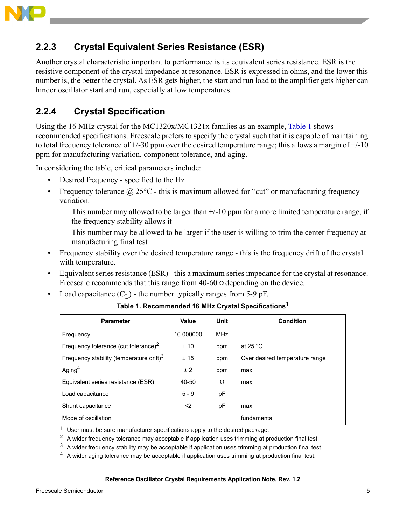

### **2.2.3 Crystal Equivalent Series Resistance (ESR)**

Another crystal characteristic important to performance is its equivalent series resistance. ESR is the resistive component of the crystal impedance at resonance. ESR is expressed in ohms, and the lower this number is, the better the crystal. As ESR gets higher, the start and run load to the amplifier gets higher can hinder oscillator start and run, especially at low temperatures.

#### **2.2.4 Crystal Specification**

Using the 16 MHz crystal for the MC1320x/MC1321x families as an example, [Table 1](#page-4-0) shows recommended specifications. Freescale prefers to specify the crystal such that it is capable of maintaining to total frequency tolerance of  $+/-30$  ppm over the desired temperature range; this allows a margin of  $+/-10$ ppm for manufacturing variation, component tolerance, and aging.

In considering the table, critical parameters include:

- Desired frequency specified to the Hz
- Frequency tolerance  $\omega$  25°C this is maximum allowed for "cut" or manufacturing frequency variation.
	- This number may allowed to be larger than  $+/-10$  ppm for a more limited temperature range, if the frequency stability allows it
	- This number may be allowed to be larger if the user is willing to trim the center frequency at manufacturing final test
- Frequency stability over the desired temperature range this is the frequency drift of the crystal with temperature.
- Equivalent series resistance (ESR) this a maximum series impedance for the crystal at resonance. Freescale recommends that this range from 40-60  $\Omega$  depending on the device.
- <span id="page-4-0"></span>Load capacitance  $(C<sub>L</sub>)$  - the number typically ranges from 5-9 pF.

**Parameter**  $\vert$  Value Unit  $\vert$  Condition Frequency 16.000000 MHz Frequency tolerance (cut tolerance) $<sup>2</sup>$ </sup>  $\pm 10$  ppm at 25 °C Frequency stability (temperature drift) $3$ ± 15 ppm Over desired temperature range Aging<sup>4</sup>  $\pm 2$  ppm  $\vert$  max Equivalent series resistance (ESR)  $\begin{array}{|c|c|c|c|c|} \hline 40-50 & \Omega & \Omega \end{array}$  max Load capacitance 5 - 9 pF Shunt capacitance  $\vert$  <2  $\vert$  pF  $\vert$  max Mode of oscillation fundamental fundamental fundamental

**Table 1. Recommended 16 MHz Crystal Specifications<sup>1</sup>**

 $1$  User must be sure manufacturer specifications apply to the desired package.

<sup>2</sup> A wider frequency tolerance may acceptable if application uses trimming at production final test.

 $3\,$  A wider frequency stability may be acceptable if application uses trimming at production final test.

 $4\,$  A wider aging tolerance may be acceptable if application uses trimming at production final test.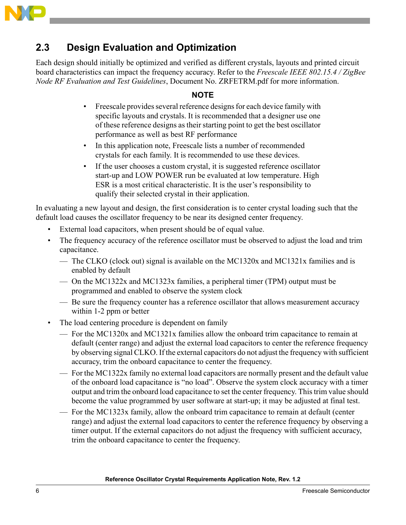

## <span id="page-5-0"></span>**2.3 Design Evaluation and Optimization**

Each design should initially be optimized and verified as different crystals, layouts and printed circuit board characteristics can impact the frequency accuracy. Refer to the *Freescale IEEE 802.15.4 / ZigBee Node RF Evaluation and Test Guidelines*, Document No. ZRFETRM.pdf for more information.

#### **NOTE**

- Freescale provides several reference designs for each device family with specific layouts and crystals. It is recommended that a designer use one of these reference designs as their starting point to get the best oscillator performance as well as best RF performance
- In this application note, Freescale lists a number of recommended crystals for each family. It is recommended to use these devices.
- If the user chooses a custom crystal, it is suggested reference oscillator start-up and LOW POWER run be evaluated at low temperature. High ESR is a most critical characteristic. It is the user's responsibility to qualify their selected crystal in their application.

In evaluating a new layout and design, the first consideration is to center crystal loading such that the default load causes the oscillator frequency to be near its designed center frequency.

- External load capacitors, when present should be of equal value.
- The frequency accuracy of the reference oscillator must be observed to adjust the load and trim capacitance.
	- The CLKO (clock out) signal is available on the MC1320x and MC1321x families and is enabled by default
	- On the MC1322x and MC1323x families, a peripheral timer (TPM) output must be programmed and enabled to observe the system clock
	- Be sure the frequency counter has a reference oscillator that allows measurement accuracy within 1-2 ppm or better
- The load centering procedure is dependent on family
	- For the MC1320x and MC1321x families allow the onboard trim capacitance to remain at default (center range) and adjust the external load capacitors to center the reference frequency by observing signal CLKO. If the external capacitors do not adjust the frequency with sufficient accuracy, trim the onboard capacitance to center the frequency.
	- For the MC1322x family no external load capacitors are normally present and the default value of the onboard load capacitance is "no load". Observe the system clock accuracy with a timer output and trim the onboard load capacitance to set the center frequency. This trim value should become the value programmed by user software at start-up; it may be adjusted at final test.
	- For the MC1323x family, allow the onboard trim capacitance to remain at default (center range) and adjust the external load capacitors to center the reference frequency by observing a timer output. If the external capacitors do not adjust the frequency with sufficient accuracy, trim the onboard capacitance to center the frequency.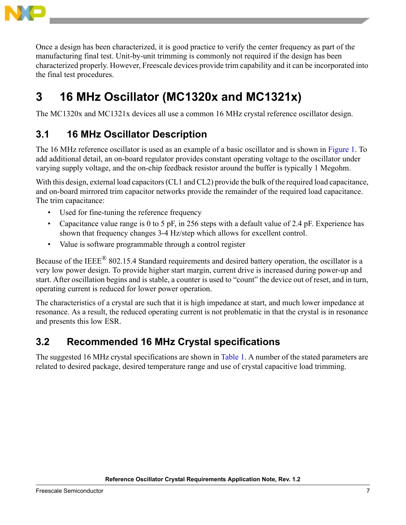

Once a design has been characterized, it is good practice to verify the center frequency as part of the manufacturing final test. Unit-by-unit trimming is commonly not required if the design has been characterized properly. However, Freescale devices provide trim capability and it can be incorporated into the final test procedures.

# <span id="page-6-0"></span>**3 16 MHz Oscillator (MC1320x and MC1321x)**

The MC1320x and MC1321x devices all use a common 16 MHz crystal reference oscillator design.

## **3.1 16 MHz Oscillator Description**

The 16 MHz reference oscillator is used as an example of a basic oscillator and is shown in [Figure 1](#page-1-1). To add additional detail, an on-board regulator provides constant operating voltage to the oscillator under varying supply voltage, and the on-chip feedback resistor around the buffer is typically 1 Megohm.

With this design, external load capacitors (CL1 and CL2) provide the bulk of the required load capacitance, and on-board mirrored trim capacitor networks provide the remainder of the required load capacitance. The trim capacitance:

- Used for fine-tuning the reference frequency
- Capacitance value range is 0 to 5 pF, in 256 steps with a default value of 2.4 pF. Experience has shown that frequency changes 3-4 Hz/step which allows for excellent control.
- Value is software programmable through a control register

Because of the IEEE® 802.15.4 Standard requirements and desired battery operation, the oscillator is a very low power design. To provide higher start margin, current drive is increased during power-up and start. After oscillation begins and is stable, a counter is used to "count" the device out of reset, and in turn, operating current is reduced for lower power operation.

The characteristics of a crystal are such that it is high impedance at start, and much lower impedance at resonance. As a result, the reduced operating current is not problematic in that the crystal is in resonance and presents this low ESR.

## **3.2 Recommended 16 MHz Crystal specifications**

The suggested 16 MHz crystal specifications are shown in [Table 1.](#page-4-0) A number of the stated parameters are related to desired package, desired temperature range and use of crystal capacitive load trimming.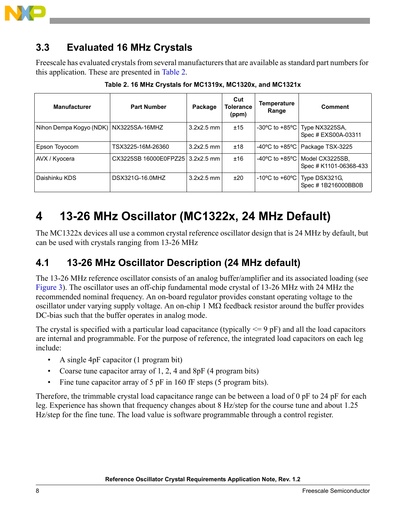

## **3.3 Evaluated 16 MHz Crystals**

Freescale has evaluated crystals from several manufacturers that are available as standard part numbers for this application. These are presented in [Table 2.](#page-7-1)

<span id="page-7-1"></span>

| <b>Manufacturer</b>                      | <b>Part Number</b>               | Package      | Cut<br>Tolerance<br>(ppm) | <b>Temperature</b><br>Range            | <b>Comment</b>                                         |
|------------------------------------------|----------------------------------|--------------|---------------------------|----------------------------------------|--------------------------------------------------------|
| Nihon Dempa Kogyo (NDK)   NX3225SA-16MHZ |                                  | $3.2x2.5$ mm | ±15                       |                                        | -30°C to +85°C   Type NX3225SA,<br>Spec # EXS00A-03311 |
| Epson Toyocom                            | TSX3225-16M-26360                | $3.2x2.5$ mm | ±18                       |                                        | -40 $\degree$ C to +85 $\degree$ C   Package TSX-3225  |
| AVX / Kyocera                            | CX3225SB 16000E0FPZ25 3.2x2.5 mm |              | ±16                       | -40 $^{\circ}$ C to +85 $^{\circ}$ C I | Model CX3225SB,<br>Spec # K1101-06368-433              |
| Daishinku KDS                            | DSX321G-16.0MHZ                  | $3.2x2.5$ mm | ±20                       | $-10^{\circ}$ C to $+60^{\circ}$ C     | Type DSX321G,<br>Spec #1B216000BB0B                    |

**Table 2. 16 MHz Crystals for MC1319x, MC1320x, and MC1321x**

# <span id="page-7-0"></span>**4 13-26 MHz Oscillator (MC1322x, 24 MHz Default)**

The MC1322x devices all use a common crystal reference oscillator design that is 24 MHz by default, but can be used with crystals ranging from 13-26 MHz

### **4.1 13-26 MHz Oscillator Description (24 MHz default)**

The 13-26 MHz reference oscillator consists of an analog buffer/amplifier and its associated loading (see [Figure 3](#page-8-0)). The oscillator uses an off-chip fundamental mode crystal of 13-26 MHz with 24 MHz the recommended nominal frequency. An on-board regulator provides constant operating voltage to the oscillator under varying supply voltage. An on-chip 1 MΩ feedback resistor around the buffer provides DC-bias such that the buffer operates in analog mode.

The crystal is specified with a particular load capacitance (typically  $\leq$  9 pF) and all the load capacitors are internal and programmable. For the purpose of reference, the integrated load capacitors on each leg include:

- A single 4pF capacitor (1 program bit)
- Coarse tune capacitor array of 1, 2, 4 and 8pF (4 program bits)
- Fine tune capacitor array of 5 pF in 160 fF steps (5 program bits).

Therefore, the trimmable crystal load capacitance range can be between a load of 0 pF to 24 pF for each leg. Experience has shown that frequency changes about 8 Hz/step for the course tune and about 1.25 Hz/step for the fine tune. The load value is software programmable through a control register.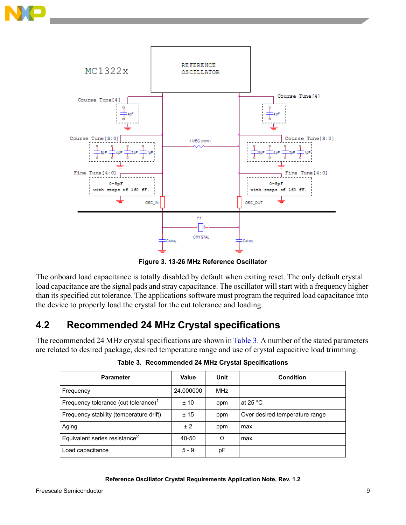



**Figure 3. 13-26 MHz Reference Oscillator**

<span id="page-8-0"></span>The onboard load capacitance is totally disabled by default when exiting reset. The only default crystal load capacitance are the signal pads and stray capacitance. The oscillator will start with a frequency higher than its specified cut tolerance. The applications software must program the required load capacitance into the device to properly load the crystal for the cut tolerance and loading.

## **4.2 Recommended 24 MHz Crystal specifications**

<span id="page-8-1"></span>The recommended 24 MHz crystal specifications are shown in [Table 3.](#page-8-1) A number of the stated parameters are related to desired package, desired temperature range and use of crystal capacitive load trimming.

| <b>Parameter</b>                                 | Value     | Unit       | <b>Condition</b>               |
|--------------------------------------------------|-----------|------------|--------------------------------|
| Frequency                                        | 24.000000 | <b>MHz</b> |                                |
| Frequency tolerance (cut tolerance) <sup>1</sup> | ±10       | ppm        | at 25 $^{\circ}$ C             |
| Frequency stability (temperature drift)          | ±15       | ppm        | Over desired temperature range |
| Aging                                            | ± 2       | ppm        | max                            |
| Equivalent series resistance <sup>2</sup>        | 40-50     | Ω          | max                            |
| Load capacitance                                 | $5 - 9$   | рF         |                                |

**Table 3. Recommended 24 MHz Crystal Specifications**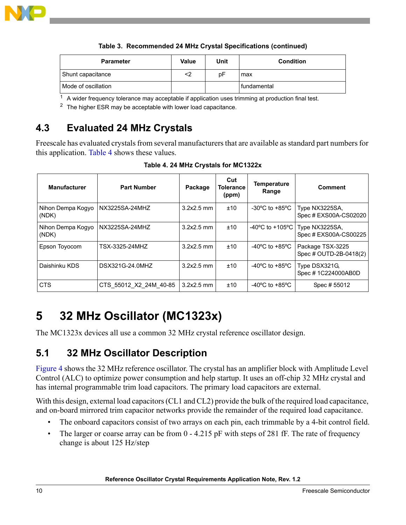

**Table 3. Recommended 24 MHz Crystal Specifications (continued)**

| <b>Parameter</b>    | Value | Unit | <b>Condition</b> |
|---------------------|-------|------|------------------|
| Shunt capacitance   | <2    | рF   | max              |
| Mode of oscillation |       |      | I fundamental    |

 $1$  A wider frequency tolerance may acceptable if application uses trimming at production final test.

<sup>2</sup> The higher ESR may be acceptable with lower load capacitance.

## **4.3 Evaluated 24 MHz Crystals**

Freescale has evaluated crystals from several manufacturers that are available as standard part numbers for this application. [Table 4](#page-9-1) shows these values.

<span id="page-9-1"></span>

| <b>Manufacturer</b>        | <b>Part Number</b>     | Package      | Cut<br>Tolerance<br>(ppm) | <b>Temperature</b><br>Range                          | <b>Comment</b>                             |
|----------------------------|------------------------|--------------|---------------------------|------------------------------------------------------|--------------------------------------------|
| Nihon Dempa Kogyo<br>(NDK) | NX3225SA-24MHZ         | $3.2x2.5$ mm | ±10                       | -30 $\mathrm{^{\circ}C}$ to +85 $\mathrm{^{\circ}C}$ | Type NX3225SA,<br>Spec # EXS00A-CS02020    |
| Nihon Dempa Kogyo<br>(NDK) | NX3225SA-24MHZ         | $3.2x2.5$ mm | ±10                       | $-40^{\circ}$ C to $+105^{\circ}$ C                  | Type NX3225SA,<br>Spec # EXS00A-CS00225    |
| Epson Toyocom              | TSX-3325-24MHZ         | $3.2x2.5$ mm | ±10                       | -40 $^{\circ}$ C to +85 $^{\circ}$ C                 | Package TSX-3225<br>Spec # OUTD-2B-0418(2) |
| Daishinku KDS              | DSX321G-24.0MHZ        | $3.2x2.5$ mm | ±10                       | -40 $\mathrm{^{\circ}C}$ to +85 $\mathrm{^{\circ}C}$ | Type DSX321G,<br>Spec # 1C224000AB0D       |
| <b>CTS</b>                 | CTS 55012 X2 24M 40-85 | $3.2x2.5$ mm | ±10                       | -40 $\mathrm{^{\circ}C}$ to +85 $\mathrm{^{\circ}C}$ | Spec # 55012                               |

**Table 4. 24 MHz Crystals for MC1322x**

# <span id="page-9-0"></span>**5 32 MHz Oscillator (MC1323x)**

The MC1323x devices all use a common 32 MHz crystal reference oscillator design.

### **5.1 32 MHz Oscillator Description**

[Figure 4](#page-10-0) shows the 32 MHz reference oscillator. The crystal has an amplifier block with Amplitude Level Control (ALC) to optimize power consumption and help startup. It uses an off-chip 32 MHz crystal and has internal programmable trim load capacitors. The primary load capacitors are external.

With this design, external load capacitors (CL1 and CL2) provide the bulk of the required load capacitance, and on-board mirrored trim capacitor networks provide the remainder of the required load capacitance.

- The onboard capacitors consist of two arrays on each pin, each trimmable by a 4-bit control field.
- The larger or coarse array can be from 0 4.215 pF with steps of 281 fF. The rate of frequency change is about 125 Hz/step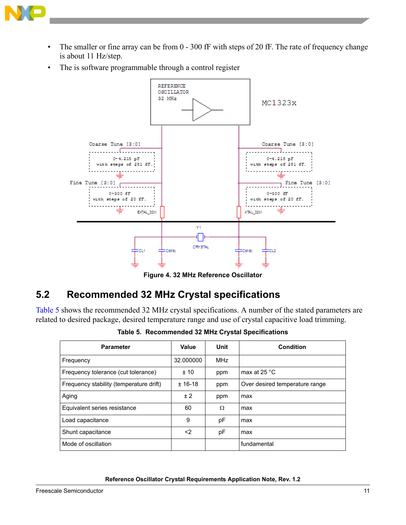

- The smaller or fine array can be from 0 300 fF with steps of 20 fF. The rate of frequency change is about 11 Hz/step.
- The is software programmable through a control register



**Figure 4. 32 MHz Reference Oscillator**

## <span id="page-10-0"></span>**5.2 Recommended 32 MHz Crystal specifications**

<span id="page-10-1"></span>[Table 5](#page-10-1) shows the recommended 32 MHz crystal specifications. A number of the stated parameters are related to desired package, desired temperature range and use of crystal capacitive load trimming.

| <b>Parameter</b>                        | Value     | Unit       | <b>Condition</b>               |
|-----------------------------------------|-----------|------------|--------------------------------|
| Frequency                               | 32.000000 | <b>MHz</b> |                                |
| Frequency tolerance (cut tolerance)     | ±10       | ppm        | max at 25 $\degree$ C          |
| Frequency stability (temperature drift) | $± 16-18$ | ppm        | Over desired temperature range |
| Aging                                   | ± 2       | ppm        | max                            |
| Equivalent series resistance            | 60        | $\Omega$   | max                            |
| Load capacitance                        | 9         | рF         | max                            |
| Shunt capacitance                       | <2        | рF         | max                            |
| Mode of oscillation                     |           |            | fundamental                    |

**Table 5. Recommended 32 MHz Crystal Specifications**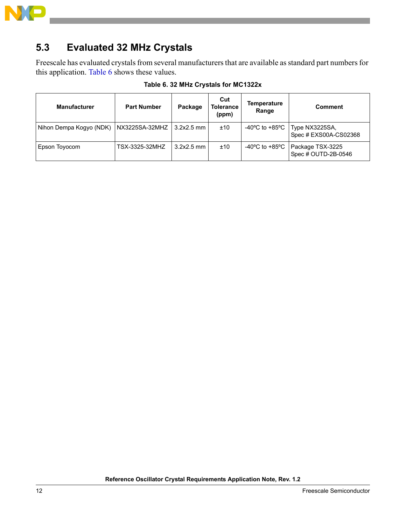

## **5.3 Evaluated 32 MHz Crystals**

Freescale has evaluated crystals from several manufacturers that are available as standard part numbers for this application. [Table 6](#page-11-0) shows these values.

<span id="page-11-0"></span>

| <b>Manufacturer</b>     | <b>Part Number</b> | Package      | Cut<br><b>Tolerance</b><br>(ppm) | <b>Temperature</b><br>Range                          | <b>Comment</b>                          |
|-------------------------|--------------------|--------------|----------------------------------|------------------------------------------------------|-----------------------------------------|
| Nihon Dempa Kogyo (NDK) | NX3225SA-32MHZ     | $3.2x2.5$ mm | ±10                              | -40 $\mathrm{^{\circ}C}$ to +85 $\mathrm{^{\circ}C}$ | Type NX3225SA,<br>Spec # EXS00A-CS02368 |
| Epson Toyocom           | TSX-3325-32MHZ     | $3.2x2.5$ mm | ±10                              | -40°C to +85°C                                       | Package TSX-3225<br>Spec # OUTD-2B-0546 |

#### **Table 6. 32 MHz Crystals for MC1322x**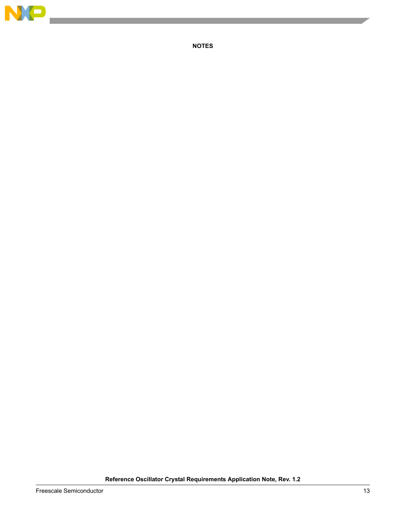

 $\overline{\phantom{a}}$ 

**NOTES**